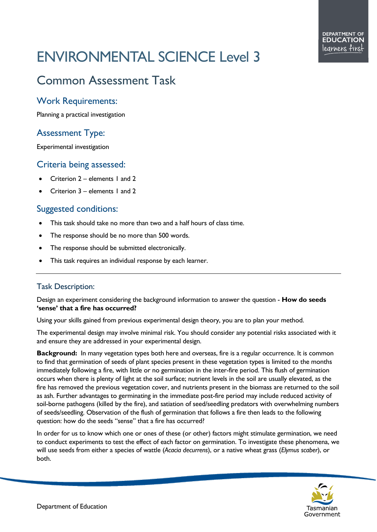# ENVIRONMENTAL SCIENCE Level 3

# Common Assessment Task

#### Work Requirements:

Planning a practical investigation

## Assessment Type:

Experimental investigation

#### Criteria being assessed:

- Criterion 2 elements 1 and 2
- Criterion 3 elements 1 and 2

### Suggested conditions:

- This task should take no more than two and a half hours of class time.
- The response should be no more than 500 words.
- The response should be submitted electronically.
- This task requires an individual response by each learner.

#### Task Description:

Design an experiment considering the background information to answer the question - **How do seeds 'sense' that a fire has occurred?**

Using your skills gained from previous experimental design theory, you are to plan your method.

The experimental design may involve minimal risk. You should consider any potential risks associated with it and ensure they are addressed in your experimental design.

**Background:** In many vegetation types both here and overseas, fire is a regular occurrence. It is common to find that germination of seeds of plant species present in these vegetation types is limited to the months immediately following a fire, with little or no germination in the inter-fire period. This flush of germination occurs when there is plenty of light at the soil surface; nutrient levels in the soil are usually elevated, as the fire has removed the previous vegetation cover, and nutrients present in the biomass are returned to the soil as ash. Further advantages to germinating in the immediate post-fire period may include reduced activity of soil-borne pathogens (killed by the fire), and satiation of seed/seedling predators with overwhelming numbers of seeds/seedling. Observation of the flush of germination that follows a fire then leads to the following question: how do the seeds "sense" that a fire has occurred?

In order for us to know which one or ones of these (or other) factors might stimulate germination, we need to conduct experiments to test the effect of each factor on germination. To investigate these phenomena, we will use seeds from either a species of wattle (*Acacia decurrens*), or a native wheat grass (*Elymus scaber*), or both.